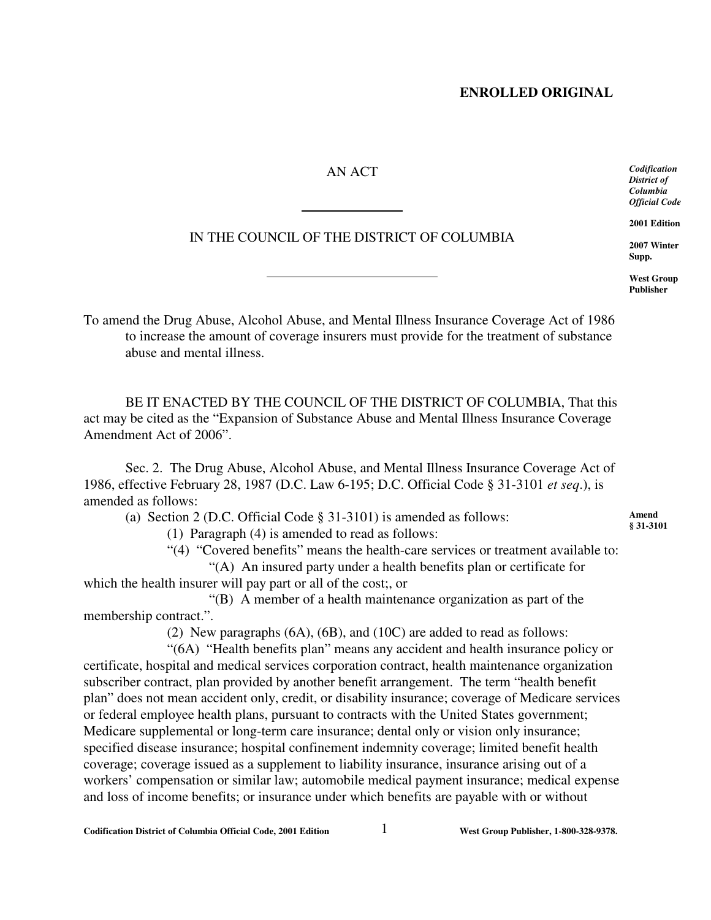## AN ACT

l

 $\overline{a}$ 

## IN THE COUNCIL OF THE DISTRICT OF COLUMBIA

*Codification District of Columbia Official Code*

**2001 Edition**

**2007 Winter Supp.**

**West Group Publisher**

**Amend § 31-3101**

To amend the Drug Abuse, Alcohol Abuse, and Mental Illness Insurance Coverage Act of 1986 to increase the amount of coverage insurers must provide for the treatment of substance abuse and mental illness.

BE IT ENACTED BY THE COUNCIL OF THE DISTRICT OF COLUMBIA, That this act may be cited as the "Expansion of Substance Abuse and Mental Illness Insurance Coverage Amendment Act of 2006".

Sec. 2. The Drug Abuse, Alcohol Abuse, and Mental Illness Insurance Coverage Act of 1986, effective February 28, 1987 (D.C. Law 6-195; D.C. Official Code § 31-3101 *et seq*.), is amended as follows:

(a) Section 2 (D.C. Official Code § 31-3101) is amended as follows:

(1) Paragraph (4) is amended to read as follows:

"(4) "Covered benefits" means the health-care services or treatment available to:

"(A) An insured party under a health benefits plan or certificate for which the health insurer will pay part or all of the cost;, or

"(B) A member of a health maintenance organization as part of the membership contract.".

(2) New paragraphs (6A), (6B), and (10C) are added to read as follows:

"(6A) "Health benefits plan" means any accident and health insurance policy or certificate, hospital and medical services corporation contract, health maintenance organization subscriber contract, plan provided by another benefit arrangement. The term "health benefit plan" does not mean accident only, credit, or disability insurance; coverage of Medicare services or federal employee health plans, pursuant to contracts with the United States government; Medicare supplemental or long-term care insurance; dental only or vision only insurance; specified disease insurance; hospital confinement indemnity coverage; limited benefit health coverage; coverage issued as a supplement to liability insurance, insurance arising out of a workers' compensation or similar law; automobile medical payment insurance; medical expense and loss of income benefits; or insurance under which benefits are payable with or without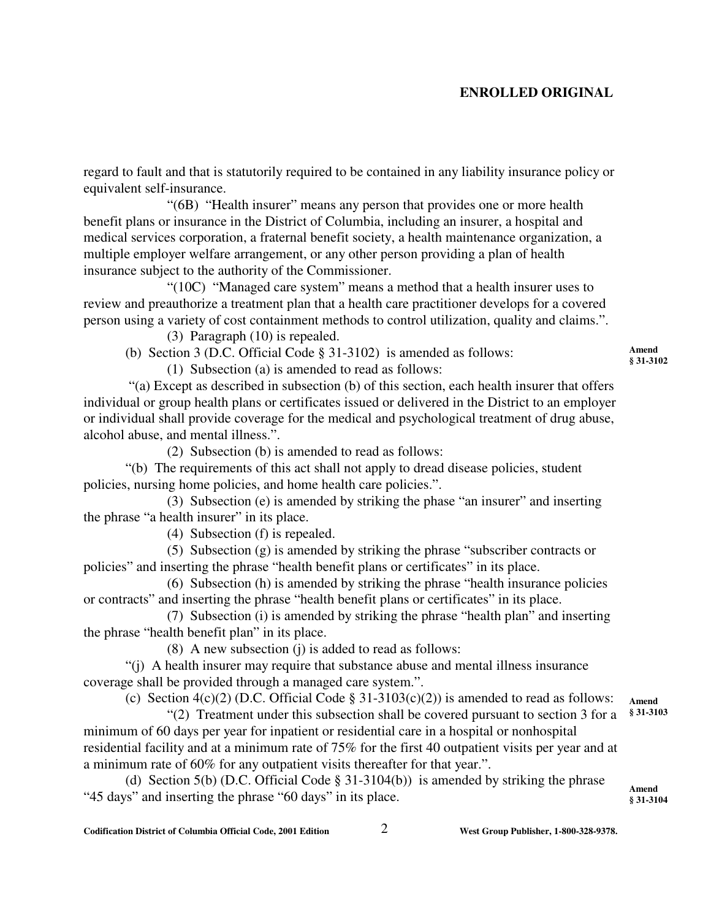regard to fault and that is statutorily required to be contained in any liability insurance policy or equivalent self-insurance.

"(6B) "Health insurer" means any person that provides one or more health benefit plans or insurance in the District of Columbia, including an insurer, a hospital and medical services corporation, a fraternal benefit society, a health maintenance organization, a multiple employer welfare arrangement, or any other person providing a plan of health insurance subject to the authority of the Commissioner.

"(10C) "Managed care system" means a method that a health insurer uses to review and preauthorize a treatment plan that a health care practitioner develops for a covered person using a variety of cost containment methods to control utilization, quality and claims.".

(3) Paragraph (10) is repealed.

(b) Section 3 (D.C. Official Code § 31-3102) is amended as follows:

(1) Subsection (a) is amended to read as follows:

 "(a) Except as described in subsection (b) of this section, each health insurer that offers individual or group health plans or certificates issued or delivered in the District to an employer or individual shall provide coverage for the medical and psychological treatment of drug abuse, alcohol abuse, and mental illness.".

(2) Subsection (b) is amended to read as follows:

"(b) The requirements of this act shall not apply to dread disease policies, student policies, nursing home policies, and home health care policies.".

(3) Subsection (e) is amended by striking the phase "an insurer" and inserting the phrase "a health insurer" in its place.

(4) Subsection (f) is repealed.

(5) Subsection (g) is amended by striking the phrase "subscriber contracts or policies" and inserting the phrase "health benefit plans or certificates" in its place.

(6) Subsection (h) is amended by striking the phrase "health insurance policies or contracts" and inserting the phrase "health benefit plans or certificates" in its place.

(7) Subsection (i) is amended by striking the phrase "health plan" and inserting the phrase "health benefit plan" in its place.

(8) A new subsection (j) is added to read as follows:

"(j) A health insurer may require that substance abuse and mental illness insurance coverage shall be provided through a managed care system.".

(c) Section 4(c)(2) (D.C. Official Code § 31-3103(c)(2)) is amended to read as follows:

"(2) Treatment under this subsection shall be covered pursuant to section 3 for a minimum of 60 days per year for inpatient or residential care in a hospital or nonhospital residential facility and at a minimum rate of 75% for the first 40 outpatient visits per year and at a minimum rate of 60% for any outpatient visits thereafter for that year.".

(d) Section 5(b) (D.C. Official Code § 31-3104(b)) is amended by striking the phrase "45 days" and inserting the phrase "60 days" in its place.

**Amend § 31-3102**

**Amend § 31-3103**

**Amend § 31-3104**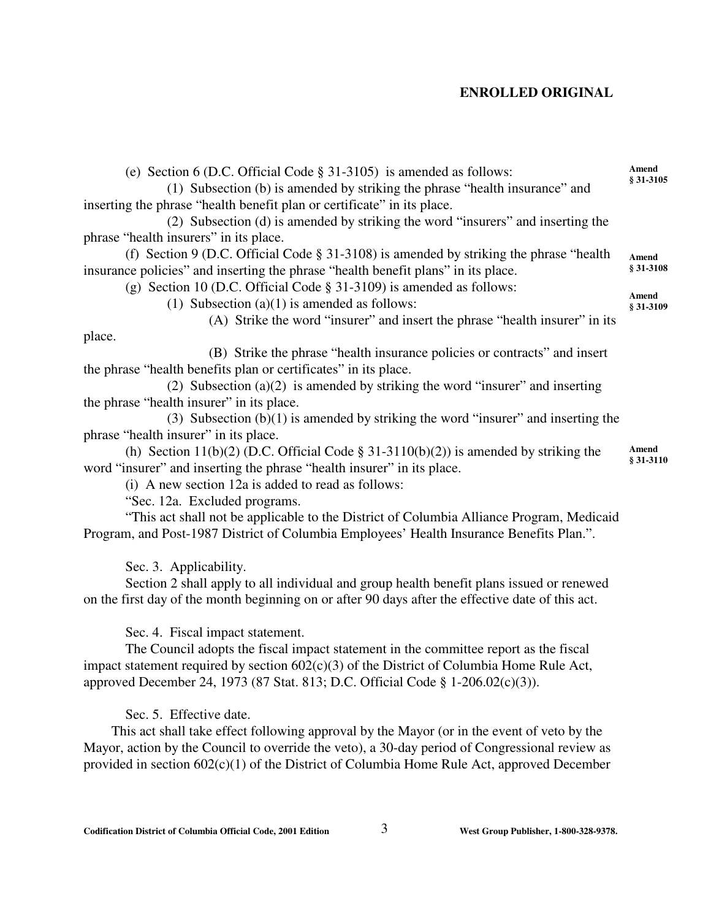(e) Section 6 (D.C. Official Code § 31-3105) is amended as follows: (1) Subsection (b) is amended by striking the phrase "health insurance" and inserting the phrase "health benefit plan or certificate" in its place. (2) Subsection (d) is amended by striking the word "insurers" and inserting the phrase "health insurers" in its place. (f) Section 9 (D.C. Official Code § 31-3108) is amended by striking the phrase "health insurance policies" and inserting the phrase "health benefit plans" in its place. (g) Section 10 (D.C. Official Code § 31-3109) is amended as follows: (1) Subsection  $(a)(1)$  is amended as follows: (A) Strike the word "insurer" and insert the phrase "health insurer" in its place. (B) Strike the phrase "health insurance policies or contracts" and insert the phrase "health benefits plan or certificates" in its place. (2) Subsection (a)(2) is amended by striking the word "insurer" and inserting the phrase "health insurer" in its place. (3) Subsection  $(b)(1)$  is amended by striking the word "insurer" and inserting the phrase "health insurer" in its place. (h) Section 11(b)(2) (D.C. Official Code  $\S 31-3110(b)(2)$ ) is amended by striking the word "insurer" and inserting the phrase "health insurer" in its place. (i) A new section 12a is added to read as follows: **Amend § 31-3105 Amend § 31-3108 Amend § 31-3109 Amend § 31-3110**

"Sec. 12a. Excluded programs.

"This act shall not be applicable to the District of Columbia Alliance Program, Medicaid Program, and Post-1987 District of Columbia Employees' Health Insurance Benefits Plan.".

Sec. 3. Applicability.

Section 2 shall apply to all individual and group health benefit plans issued or renewed on the first day of the month beginning on or after 90 days after the effective date of this act.

Sec. 4. Fiscal impact statement.

The Council adopts the fiscal impact statement in the committee report as the fiscal impact statement required by section 602(c)(3) of the District of Columbia Home Rule Act, approved December 24, 1973 (87 Stat. 813; D.C. Official Code § 1-206.02(c)(3)).

Sec. 5. Effective date.

 This act shall take effect following approval by the Mayor (or in the event of veto by the Mayor, action by the Council to override the veto), a 30-day period of Congressional review as provided in section 602(c)(1) of the District of Columbia Home Rule Act, approved December